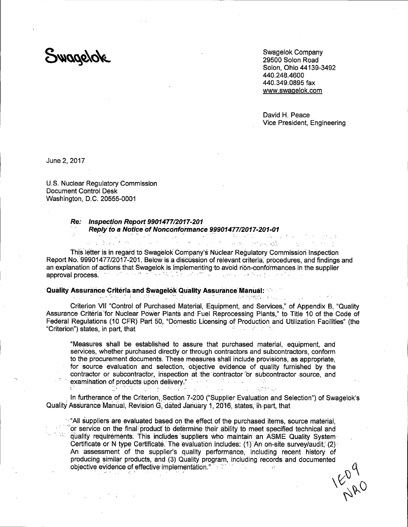Swagelok

Swagelok Company 29500 Solon Road Solon. Ohio 44139-3492 440.248.4600 440.349.0895 fax www.swagelok.com

David H. Peace Vice President, Engineering

アイテル 八歳 アーバー・エー・オー

June 2, 2017

U.S. Nuclear Regulatory Commission **Document Control Desk** Washington, D.C. 20555-0001

 $\sim 10$ 

. CA

#### Re: Inspection Report 9901477/2017-201 Reply to a Notice of Nonconformance 99901477/2017-201-01  $\mathcal{A}^{\pm}$ a a contra a porta de contra el medio.<br>En la contra de la seu de medio de la falla

This letter is in regard to Swagelok Company's Nuclear Requlatory Commission Inspection Report No. 99901477/2017-201. Below is a discussion of relevant criteria, procedures, and findings and an explanation of actions that Swagelok is implementing to avoid non-conformances in the supplier approval process.

#### **Quality Assurance Criteria and Swagelok Quality Assurance Manual: State** (最) ひん さまい ばん パッパル マンプリット in the star friends of the con-

 $\frac{1}{2} \sum_{i=1}^n \mathbf{1}_{\{i\}} \mathbf{1}_{\{i\}} = \frac{1}{2} \sum_{i=1}^n \mathbf{1}_{\{i\}}$ 

Criterion VII "Control of Purchased Material, Equipment, and Services," of Appendix B, "Quality Assurance Criteria for Nuclear Power Plants and Fuel Reprocessing Plants," to Title 10 of the Code of Federal Regulations (10 CFR) Part 50, "Domestic Licensing of Production and Utilization Facilities" (the "Criterion") states, in part, that 第1920 BM とこれ

"Measures shall be established to assure that purchased material, equipment, and services, whether purchased directly or through contractors and subcontractors, conform to the procurement documents. These measures shall include provisions, as appropriate. for source evaluation and selection, objective evidence of quality furnished by the contractor or subcontractor, inspection at the contractor or subcontractor source, and examination of products upon delivery." The contract of the contract of the contract of the contract of the contract of the contract of the contract of the contract of the contract of the contract of the contract of the co

In furtherance of the Criterion, Section 7-200 ("Supplier Evaluation and Selection") of Swagelok's Quality Assurance Manual, Revision G, dated January 1, 2016, states, in part, that

""All suppliers are evaluated based on the effect of the purchased items, source material. or service on the final product to determine their ability to meet specified technical and quality requirements. This includes suppliers who maintain an ASME Quality System Certificate or N type Certificate. The evaluation includes: (1) An on-site survey/audit. (2) An assessment of the supplier's quality performance, including recent history of producing similar products, and (3) Quality program, including records and documented objective evidence of effective implementation." **1607 Taylor 老**了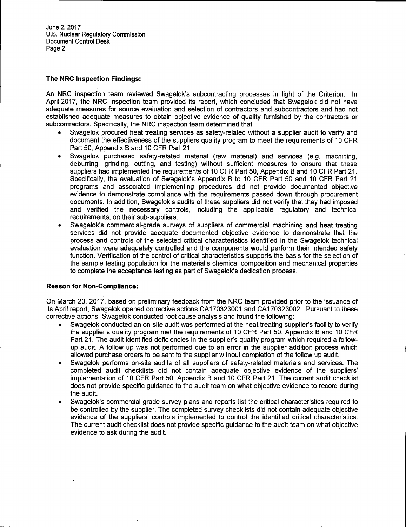June 2, 2017 U.S. Nuclear Regulatory Commission Document Control Desk Page 2

## **The NRC Inspection Findings:**

An NRC inspection team reviewed Swagelok's subcontracting processes in light of the Criterion. In April 2017, the NRC inspection team provided its report, which concluded that Swagelok did not have adequate measures for source evaluation and selection of contractors and subcontractors and had not established adequate measures to obtain objective evidence of quality furnished by the contractors or subcontractors. Specifically, the NRC inspection team determined that:

- Swagelok procured heat treating services as safety-related without a supplier audit to verify and document the effectiveness of the suppliers quality program to meet the requirements of 10 CFR Part 50, Appendix B and 10 CFR Part 21.
- Swagelok purchased safety-related material (raw material) and services (e.g. machining, deburring, grinding, cutting, and testing) without sufficient measures to ensure that these suppliers had implemented the requirements of 10 CFR Part 50, Appendix 8 and 10 CFR Part 21. Specifically, the evaluation of Swagelok's Appendix B to 10 CFR Part 50 and 10 CFR Part 21 programs and associated implementing procedures did not provide documented objective evidence to demonstrate compliance with the requirements passed down through procurement documents. In addition, Swagelok's audits of these suppliers did not verify that they had imposed and verified the necessary controls, including the applicable regulatory and technical requirements, on their sub-suppliers.
- Swagelok's commercial-grade surveys of suppliers of commercial machining and heat treating services did not provide adequate documented objective evidence to demonstrate that the process and controls of the selected critical characteristics identified in the Swagelok technical evaluation were adequately controlled and the components would perform their intended safety function. Verification of the control of critical characteristics supports the basis for the selection of the sample testing population for the material's chemical composition and mechanical properties to complete the acceptance testing as part of Swagelok's dedication process.

# **Reason for· Non-Compliance:**

On March 23, 2017·, based on preliminary feedback from the NRC team provided prior to the issuance of its April report, Swagelok opened corrective actions CA170323001 and CA170323002. Pursuant to these corrective actions, Swagelok conducted root cause analysis and found the following:

- Swagelok conducted an on-site audit was performed at the heat treating supplier's facility to verify the supplier's quality program met the requirements of 10 CFR Part 50, Appendix 8 and 10 CFR Part 21. The audit identified deficiencies in the supplier's quality program which required a followup audit. A follow up was not performed due to an error in the supplier addition process which allowed purchase orders to be sent to the supplier without completion of the follow up audit.
- Swagelok performs on-site audits of all suppliers of safety-related materials and services. The completed audit checklists did not contain adequate objective evidence of the suppliers' implementation of 10 CFR Part 50, Appendix 8 and 10 CFR Part 21. The current audit checklist does not provide specific guidance to the audit team on what objective evidence to record during the audit.
- Swagelok's commercial grade survey plans and reports list the critical characteristics required to be controlled by the supplier. The completed survey checklists did not contain adequate objective evidence of the suppliers' controls implemented to control the identified critical characteristics. The current audit checklist does not provide specific guidance to the audit team on what objective evidence to ask during the audit.